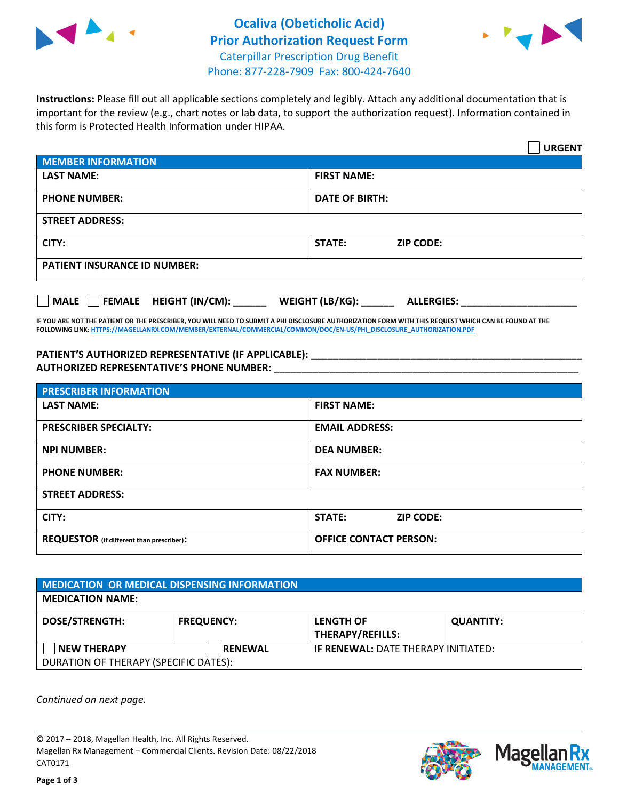



**Instructions:** Please fill out all applicable sections completely and legibly. Attach any additional documentation that is important for the review (e.g., chart notes or lab data, to support the authorization request). Information contained in this form is Protected Health Information under HIPAA.

|                                     |                                      | <b>URGENT</b> |  |  |
|-------------------------------------|--------------------------------------|---------------|--|--|
| <b>MEMBER INFORMATION</b>           |                                      |               |  |  |
| <b>LAST NAME:</b>                   | <b>FIRST NAME:</b>                   |               |  |  |
| <b>PHONE NUMBER:</b>                | <b>DATE OF BIRTH:</b>                |               |  |  |
| <b>STREET ADDRESS:</b>              |                                      |               |  |  |
| CITY:                               | <b>STATE:</b><br><b>ZIP CODE:</b>    |               |  |  |
| <b>PATIENT INSURANCE ID NUMBER:</b> |                                      |               |  |  |
| MALE FEMALE HEIGHT (IN/CM):         | WEIGHT (LB/KG):<br><b>ALLERGIES:</b> |               |  |  |

**IF YOU ARE NOT THE PATIENT OR THE PRESCRIBER, YOU WILL NEED TO SUBMIT A PHI DISCLOSURE AUTHORIZATION FORM WITH THIS REQUEST WHICH CAN BE FOUND AT THE FOLLOWING LINK[: HTTPS://MAGELLANRX.COM/MEMBER/EXTERNAL/COMMERCIAL/COMMON/DOC/EN-US/PHI\\_DISCLOSURE\\_AUTHORIZATION.PDF](https://magellanrx.com/member/external/commercial/common/doc/en-us/PHI_Disclosure_Authorization.pdf)**

**PATIENT'S AUTHORIZED REPRESENTATIVE (IF APPLICABLE): \_\_\_\_\_\_\_\_\_\_\_\_\_\_\_\_\_\_\_\_\_\_\_\_\_\_\_\_\_\_\_\_\_\_\_\_\_\_\_\_\_\_\_\_\_\_\_\_\_ AUTHORIZED REPRESENTATIVE'S PHONE NUMBER:** \_\_\_\_\_\_\_\_\_\_\_\_\_\_\_\_\_\_\_\_\_\_\_\_\_\_\_\_\_\_\_\_\_\_\_\_\_\_\_\_\_\_\_\_\_\_\_\_\_\_\_\_\_\_\_

| <b>PRESCRIBER INFORMATION</b>             |                               |  |  |  |
|-------------------------------------------|-------------------------------|--|--|--|
| <b>LAST NAME:</b>                         | <b>FIRST NAME:</b>            |  |  |  |
| <b>PRESCRIBER SPECIALTY:</b>              | <b>EMAIL ADDRESS:</b>         |  |  |  |
| <b>NPI NUMBER:</b>                        | <b>DEA NUMBER:</b>            |  |  |  |
| <b>PHONE NUMBER:</b>                      | <b>FAX NUMBER:</b>            |  |  |  |
| <b>STREET ADDRESS:</b>                    |                               |  |  |  |
| CITY:                                     | STATE:<br><b>ZIP CODE:</b>    |  |  |  |
| REQUESTOR (if different than prescriber): | <b>OFFICE CONTACT PERSON:</b> |  |  |  |

| <b>MEDICATION OR MEDICAL DISPENSING INFORMATION</b>         |                   |                                             |                  |  |  |
|-------------------------------------------------------------|-------------------|---------------------------------------------|------------------|--|--|
| <b>MEDICATION NAME:</b>                                     |                   |                                             |                  |  |  |
| <b>DOSE/STRENGTH:</b>                                       | <b>FREQUENCY:</b> | <b>LENGTH OF</b><br><b>THERAPY/REFILLS:</b> | <b>QUANTITY:</b> |  |  |
| <b>NEW THERAPY</b><br>DURATION OF THERAPY (SPECIFIC DATES): | <b>RENEWAL</b>    | <b>IF RENEWAL: DATE THERAPY INITIATED:</b>  |                  |  |  |

*Continued on next page.*

© 2017 – 2018, Magellan Health, Inc. All Rights Reserved. Magellan Rx Management – Commercial Clients. Revision Date: 08/22/2018 CAT0171



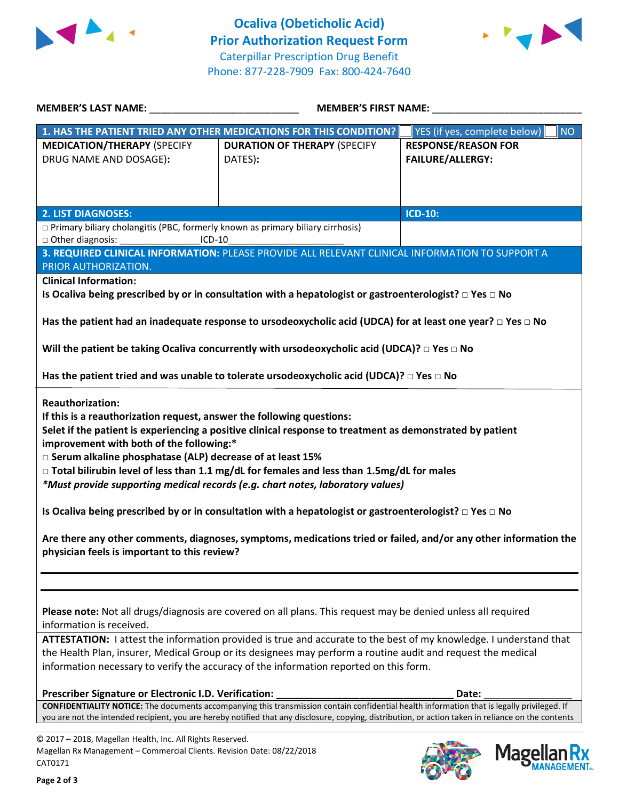



| <b>MEMBER'S LAST NAME:</b>                                                                                                                                                                                                                                                                                                                                                                                                                                                                                                                                                                                                                                                                                                                              | <b>MEMBER'S FIRST NAME:</b>                                                                                           |                                                       |  |  |  |
|---------------------------------------------------------------------------------------------------------------------------------------------------------------------------------------------------------------------------------------------------------------------------------------------------------------------------------------------------------------------------------------------------------------------------------------------------------------------------------------------------------------------------------------------------------------------------------------------------------------------------------------------------------------------------------------------------------------------------------------------------------|-----------------------------------------------------------------------------------------------------------------------|-------------------------------------------------------|--|--|--|
|                                                                                                                                                                                                                                                                                                                                                                                                                                                                                                                                                                                                                                                                                                                                                         | 1. HAS THE PATIENT TRIED ANY OTHER MEDICATIONS FOR THIS CONDITION?                                                    | <b>NO</b><br>YES (if yes, complete below)             |  |  |  |
| <b>MEDICATION/THERAPY (SPECIFY</b><br>DRUG NAME AND DOSAGE):                                                                                                                                                                                                                                                                                                                                                                                                                                                                                                                                                                                                                                                                                            | <b>DURATION OF THERAPY (SPECIFY</b><br>DATES):                                                                        | <b>RESPONSE/REASON FOR</b><br><b>FAILURE/ALLERGY:</b> |  |  |  |
|                                                                                                                                                                                                                                                                                                                                                                                                                                                                                                                                                                                                                                                                                                                                                         |                                                                                                                       |                                                       |  |  |  |
| <b>2. LIST DIAGNOSES:</b>                                                                                                                                                                                                                                                                                                                                                                                                                                                                                                                                                                                                                                                                                                                               |                                                                                                                       | <b>ICD-10:</b>                                        |  |  |  |
| $\Box$ Primary biliary cholangitis (PBC, formerly known as primary biliary cirrhosis)                                                                                                                                                                                                                                                                                                                                                                                                                                                                                                                                                                                                                                                                   |                                                                                                                       |                                                       |  |  |  |
| □ Other diagnosis:                                                                                                                                                                                                                                                                                                                                                                                                                                                                                                                                                                                                                                                                                                                                      | ICD-10                                                                                                                |                                                       |  |  |  |
|                                                                                                                                                                                                                                                                                                                                                                                                                                                                                                                                                                                                                                                                                                                                                         | 3. REQUIRED CLINICAL INFORMATION: PLEASE PROVIDE ALL RELEVANT CLINICAL INFORMATION TO SUPPORT A                       |                                                       |  |  |  |
| PRIOR AUTHORIZATION.                                                                                                                                                                                                                                                                                                                                                                                                                                                                                                                                                                                                                                                                                                                                    |                                                                                                                       |                                                       |  |  |  |
| <b>Clinical Information:</b>                                                                                                                                                                                                                                                                                                                                                                                                                                                                                                                                                                                                                                                                                                                            |                                                                                                                       |                                                       |  |  |  |
|                                                                                                                                                                                                                                                                                                                                                                                                                                                                                                                                                                                                                                                                                                                                                         | Is Ocaliva being prescribed by or in consultation with a hepatologist or gastroenterologist? $\Box$ Yes $\Box$ No     |                                                       |  |  |  |
|                                                                                                                                                                                                                                                                                                                                                                                                                                                                                                                                                                                                                                                                                                                                                         | Has the patient had an inadequate response to ursodeoxycholic acid (UDCA) for at least one year? $\Box$ Yes $\Box$ No |                                                       |  |  |  |
|                                                                                                                                                                                                                                                                                                                                                                                                                                                                                                                                                                                                                                                                                                                                                         |                                                                                                                       |                                                       |  |  |  |
|                                                                                                                                                                                                                                                                                                                                                                                                                                                                                                                                                                                                                                                                                                                                                         | Will the patient be taking Ocaliva concurrently with ursodeoxycholic acid (UDCA)? $\Box$ Yes $\Box$ No                |                                                       |  |  |  |
|                                                                                                                                                                                                                                                                                                                                                                                                                                                                                                                                                                                                                                                                                                                                                         | Has the patient tried and was unable to tolerate ursodeoxycholic acid (UDCA)? $\Box$ Yes $\Box$ No                    |                                                       |  |  |  |
| <b>Reauthorization:</b><br>If this is a reauthorization request, answer the following questions:<br>Selet if the patient is experiencing a positive clinical response to treatment as demonstrated by patient<br>improvement with both of the following:*<br>□ Serum alkaline phosphatase (ALP) decrease of at least 15%<br>$\Box$ Total bilirubin level of less than 1.1 mg/dL for females and less than 1.5mg/dL for males<br>*Must provide supporting medical records (e.g. chart notes, laboratory values)<br>Is Ocaliva being prescribed by or in consultation with a hepatologist or gastroenterologist? $\Box$ Yes $\Box$ No<br>Are there any other comments, diagnoses, symptoms, medications tried or failed, and/or any other information the |                                                                                                                       |                                                       |  |  |  |
| physician feels is important to this review?                                                                                                                                                                                                                                                                                                                                                                                                                                                                                                                                                                                                                                                                                                            |                                                                                                                       |                                                       |  |  |  |
|                                                                                                                                                                                                                                                                                                                                                                                                                                                                                                                                                                                                                                                                                                                                                         |                                                                                                                       |                                                       |  |  |  |
| Please note: Not all drugs/diagnosis are covered on all plans. This request may be denied unless all required<br>information is received.                                                                                                                                                                                                                                                                                                                                                                                                                                                                                                                                                                                                               |                                                                                                                       |                                                       |  |  |  |
| ATTESTATION: I attest the information provided is true and accurate to the best of my knowledge. I understand that                                                                                                                                                                                                                                                                                                                                                                                                                                                                                                                                                                                                                                      |                                                                                                                       |                                                       |  |  |  |
| the Health Plan, insurer, Medical Group or its designees may perform a routine audit and request the medical                                                                                                                                                                                                                                                                                                                                                                                                                                                                                                                                                                                                                                            |                                                                                                                       |                                                       |  |  |  |
| information necessary to verify the accuracy of the information reported on this form.                                                                                                                                                                                                                                                                                                                                                                                                                                                                                                                                                                                                                                                                  |                                                                                                                       |                                                       |  |  |  |
| Prescriber Signature or Electronic I.D. Verification:                                                                                                                                                                                                                                                                                                                                                                                                                                                                                                                                                                                                                                                                                                   |                                                                                                                       | Date:                                                 |  |  |  |
| CONFIDENTIALITY NOTICE: The documents accompanying this transmission contain confidential health information that is legally privileged. If<br>you are not the intended recipient, you are hereby notified that any disclosure, copying, distribution, or action taken in reliance on the contents                                                                                                                                                                                                                                                                                                                                                                                                                                                      |                                                                                                                       |                                                       |  |  |  |
| @ 2017 - 2018 Magellan Health Inc. All Rights Reserved                                                                                                                                                                                                                                                                                                                                                                                                                                                                                                                                                                                                                                                                                                  |                                                                                                                       |                                                       |  |  |  |

© 2017 – 2018, Magellan Health, Inc. All Rights Reserved. Magellan Rx Management – Commercial Clients. Revision Date: 08/22/2018 CAT0171